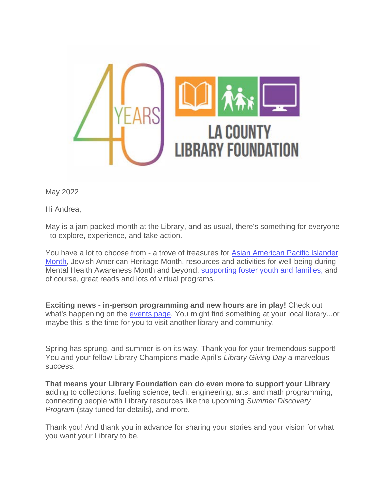

May 2022

Hi Andrea,

May is a jam packed month at the Library, and as usual, there's something for everyone - to explore, experience, and take action.

You have a lot to choose from - a trove of treasures for [Asian American Pacific Islander](https://u10167832.ct.sendgrid.net/ls/click?upn=QRIzs1JeZxD09Q8uNfKoYs3vqKwAcLOjVW-2BWJNEtLHTxyqyTmvMSrwCokSSmN8Lku94yJIdmE2QhYFg-2FkpEnmMaGy0YbCe-2FQbkTVQTtCqJfobTOaDLSwv4jnNTkyZuU8GHJe_OgeRVzrjAtbqJQqQEEVSo-2FtUTXjooy1CixQTDPT3esDLFKNvxrgIfiAIb8LI4MkFK1oCa8IjOwjAJdMBvPR2aLSRIBpZkG2-2FB6NBaM7ISPraceBm00oWgcdgRGnV-2F7wL1uBlebRQOFrlWPRTifYCnW9h89CME33DPT6uKXzUu1DLjK92kGdg1u9DLgBLxm3VWucz8vNvjOJWrf4N3iMvbnnyiurfT9qt3viro0wsB-2BAaxPGHjz3p4BfqMammcyd73COPTnQJw0Qc1SMcDsHy9PTvv3vrzYfbYUHmzX5soWvzdmZcG6ei76-2Bs4X6iGMO4-2FmBBQvIrSS7JNWmfadKGzpYilRgwULP9ZrZe9vDvayf3d2-2FkDEMGxYtyb9Faeg9f4GWg0-2BSGHuFNNj416WhMF1zoghbCP-2BxO1roRv0l-2BSqE-3D)  [Month,](https://u10167832.ct.sendgrid.net/ls/click?upn=QRIzs1JeZxD09Q8uNfKoYs3vqKwAcLOjVW-2BWJNEtLHTxyqyTmvMSrwCokSSmN8Lku94yJIdmE2QhYFg-2FkpEnmMaGy0YbCe-2FQbkTVQTtCqJfobTOaDLSwv4jnNTkyZuU8GHJe_OgeRVzrjAtbqJQqQEEVSo-2FtUTXjooy1CixQTDPT3esDLFKNvxrgIfiAIb8LI4MkFK1oCa8IjOwjAJdMBvPR2aLSRIBpZkG2-2FB6NBaM7ISPraceBm00oWgcdgRGnV-2F7wL1uBlebRQOFrlWPRTifYCnW9h89CME33DPT6uKXzUu1DLjK92kGdg1u9DLgBLxm3VWucz8vNvjOJWrf4N3iMvbnnyiurfT9qt3viro0wsB-2BAaxPGHjz3p4BfqMammcyd73COPTnQJw0Qc1SMcDsHy9PTvv3vrzYfbYUHmzX5soWvzdmZcG6ei76-2Bs4X6iGMO4-2FmBBQvIrSS7JNWmfadKGzpYilRgwULP9ZrZe9vDvayf3d2-2FkDEMGxYtyb9Faeg9f4GWg0-2BSGHuFNNj416WhMF1zoghbCP-2BxO1roRv0l-2BSqE-3D) Jewish American Heritage Month, resources and activities for well-being during Mental Health Awareness Month and beyond, [supporting foster youth and families,](https://u10167832.ct.sendgrid.net/ls/click?upn=QRIzs1JeZxD09Q8uNfKoYs3vqKwAcLOjVW-2BWJNEtLHRNQ3Xokb0KsqMnAnEnATSN67g88LrdS7sQ-2BhZD0lREvA-3D-3D070X_OgeRVzrjAtbqJQqQEEVSo-2FtUTXjooy1CixQTDPT3esDLFKNvxrgIfiAIb8LI4MkFK1oCa8IjOwjAJdMBvPR2aLSRIBpZkG2-2FB6NBaM7ISPraceBm00oWgcdgRGnV-2F7wL1uBlebRQOFrlWPRTifYCnW9h89CME33DPT6uKXzUu1DLjK92kGdg1u9DLgBLxm3VWucz8vNvjOJWrf4N3iMvbnnyiurfT9qt3viro0wsB-2BAaxPGHjz3p4BfqMammcyd73COPTnQJw0Qc1SMcDsHy9A2LsR-2FCXa7-2BIJonaEPYNAnyvS9uV0UOaHwmnVaQbRopjAoG5FTRIa970uyJn34Tt8ccEgZaAfNpwrfyrxuM3-2FsC-2FzJ4D-2FieOBWgOLFs59Itr8Jr6S8gBMSxytjTRkXn4I0BFWXVEiM0iGTPDuFDpzc-3D) and of course, great reads and lots of virtual programs.

**Exciting news - in-person programming and new hours are in play!** Check out what's happening on the [events page.](https://u10167832.ct.sendgrid.net/ls/click?upn=QRIzs1JeZxD09Q8uNfKoYsM0tWIlTzPT-2FWOrYU2tBV91XSZkP7o5kn7tkhXQhBPWrAI2b-2BWh25WPWH5O6OiR0o2MFPEkkdv73nNXzAXY-2BMs-3DgEbM_OgeRVzrjAtbqJQqQEEVSo-2FtUTXjooy1CixQTDPT3esDLFKNvxrgIfiAIb8LI4MkFK1oCa8IjOwjAJdMBvPR2aLSRIBpZkG2-2FB6NBaM7ISPraceBm00oWgcdgRGnV-2F7wL1uBlebRQOFrlWPRTifYCnW9h89CME33DPT6uKXzUu1DLjK92kGdg1u9DLgBLxm3VWucz8vNvjOJWrf4N3iMvbnnyiurfT9qt3viro0wsB-2BAaxPGHjz3p4BfqMammcyd73COPTnQJw0Qc1SMcDsHy9H7wvIpEILZfmpQshbGWJWUGjZZDXOC6zajE3thyvcWyRI4juaWuAVCMXJ-2BksDvg-2B4SgJZY23-2FIfRqnfNEVMintToOQPh5Eb1ESObuH-2Bab0PBvm5RDMZQpjcLIN4mhDFVJ4YGCWT3jTwwxSGYLqfyB0-3D) You might find something at your local library...or maybe this is the time for you to visit another library and community.

Spring has sprung, and summer is on its way. Thank you for your tremendous support! You and your fellow Library Champions made April's *Library Giving Day* a marvelous success.

**That means your Library Foundation can do even more to support your Library** adding to collections, fueling science, tech, engineering, arts, and math programming, connecting people with Library resources like the upcoming *Summer Discovery Program* (stay tuned for details), and more.

Thank you! And thank you in advance for sharing your stories and your vision for what you want your Library to be.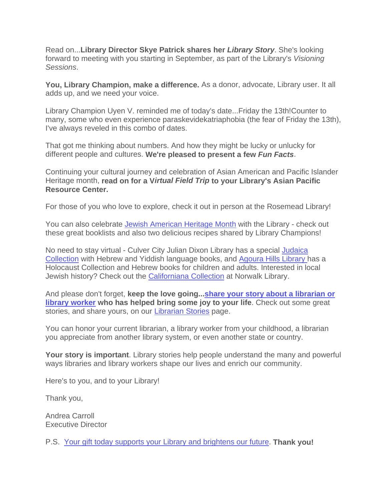Read on...**Library Director Skye Patrick shares her** *Library Story*. She's looking forward to meeting with you starting in September, as part of the Library's *Visioning Sessions*.

**You, Library Champion, make a difference.** As a donor, advocate, Library user. It all adds up, and we need your voice.

Library Champion Uyen V. reminded me of today's date...Friday the 13th!Counter to many, some who even experience paraskevidekatriaphobia (the fear of Friday the 13th), I've always reveled in this combo of dates.

That got me thinking about numbers. And how they might be lucky or unlucky for different people and cultures. **We're pleased to present a few** *Fun Facts*.

Continuing your cultural journey and celebration of Asian American and Pacific Islander Heritage month, **read on for a V***irtual Field Trip* **to your Library's Asian Pacific Resource Center.**

For those of you who love to explore, check it out in person at the Rosemead Library!

You can also celebrate [Jewish American Heritage Month](https://u10167832.ct.sendgrid.net/ls/click?upn=QRIzs1JeZxD09Q8uNfKoYs3vqKwAcLOjVW-2BWJNEtLHTN-2FZBYRjS4eszUqllRkSSSBmXeE7p5cJRe-2BYWytidzTAezmSzT6Zh23MUuUCIWbU5HqFChHj5qmIZHDKSJJaSORhBh_OgeRVzrjAtbqJQqQEEVSo-2FtUTXjooy1CixQTDPT3esDLFKNvxrgIfiAIb8LI4MkFK1oCa8IjOwjAJdMBvPR2aLSRIBpZkG2-2FB6NBaM7ISPraceBm00oWgcdgRGnV-2F7wL1uBlebRQOFrlWPRTifYCnW9h89CME33DPT6uKXzUu1DLjK92kGdg1u9DLgBLxm3VWucz8vNvjOJWrf4N3iMvbnnyiurfT9qt3viro0wsB-2BAaxPGHjz3p4BfqMammcyd73COPTnQJw0Qc1SMcDsHy9GrUyHk4-2FN78fh53N8Ke4yO67rjPGon86gm2RKkorZ9OT1A90IuxvARr1wlg-2B2x-2BIlG4ellGzMSHwDUXIeHgU9TdcT8N7xbA5lKn-2FCebxyrmttXFSdrbvgWANFAHywxXA5Mywo8LbXQ84a3irnxYGPQ-3D) with the Library - check out these great booklists and also two delicious recipes shared by Library Champions!

No need to stay virtual - Culver City Julian Dixon Library has a special [Judaica](https://u10167832.ct.sendgrid.net/ls/click?upn=QRIzs1JeZxD09Q8uNfKoYs3vqKwAcLOjVW-2BWJNEtLHQT-2Fkj-2BwRXygSwHpq2Cq62UdxMutmDLQaNFsHIjMQiLbg-3D-3DB5I2_OgeRVzrjAtbqJQqQEEVSo-2FtUTXjooy1CixQTDPT3esDLFKNvxrgIfiAIb8LI4MkFK1oCa8IjOwjAJdMBvPR2aLSRIBpZkG2-2FB6NBaM7ISPraceBm00oWgcdgRGnV-2F7wL1uBlebRQOFrlWPRTifYCnW9h89CME33DPT6uKXzUu1DLjK92kGdg1u9DLgBLxm3VWucz8vNvjOJWrf4N3iMvbnnyiurfT9qt3viro0wsB-2BAaxPGHjz3p4BfqMammcyd73COPTnQJw0Qc1SMcDsHy9FCc-2F1zBH-2Bkm9DHEFPSAX3QQ3ZLHdL-2BrP246jfhn6RHKXfwxDsTZTKvd5MSZhu8UIA8UmTDDvEQg4XRcE-2Bl1sYVb6OGMsA3v8x5IEWrMA9q7E0Enrpz4RDO4-2B-2FXYG8DHzXZ5DnKKTFynfld6Lu-2B6At8-3D)  [Collection](https://u10167832.ct.sendgrid.net/ls/click?upn=QRIzs1JeZxD09Q8uNfKoYs3vqKwAcLOjVW-2BWJNEtLHQT-2Fkj-2BwRXygSwHpq2Cq62UdxMutmDLQaNFsHIjMQiLbg-3D-3DB5I2_OgeRVzrjAtbqJQqQEEVSo-2FtUTXjooy1CixQTDPT3esDLFKNvxrgIfiAIb8LI4MkFK1oCa8IjOwjAJdMBvPR2aLSRIBpZkG2-2FB6NBaM7ISPraceBm00oWgcdgRGnV-2F7wL1uBlebRQOFrlWPRTifYCnW9h89CME33DPT6uKXzUu1DLjK92kGdg1u9DLgBLxm3VWucz8vNvjOJWrf4N3iMvbnnyiurfT9qt3viro0wsB-2BAaxPGHjz3p4BfqMammcyd73COPTnQJw0Qc1SMcDsHy9FCc-2F1zBH-2Bkm9DHEFPSAX3QQ3ZLHdL-2BrP246jfhn6RHKXfwxDsTZTKvd5MSZhu8UIA8UmTDDvEQg4XRcE-2Bl1sYVb6OGMsA3v8x5IEWrMA9q7E0Enrpz4RDO4-2B-2FXYG8DHzXZ5DnKKTFynfld6Lu-2B6At8-3D) with Hebrew and Yiddish language books, and [Agoura Hills Library](https://u10167832.ct.sendgrid.net/ls/click?upn=QRIzs1JeZxD09Q8uNfKoYs3vqKwAcLOjVW-2BWJNEtLHR0tkhU5CAMU79-2FOu6Dwzmvj2Ucnueb-2FM5ZAbFqpLNre5932dKQ9pALBpLxPEBNtBk-3DsRlK_OgeRVzrjAtbqJQqQEEVSo-2FtUTXjooy1CixQTDPT3esDLFKNvxrgIfiAIb8LI4MkFK1oCa8IjOwjAJdMBvPR2aLSRIBpZkG2-2FB6NBaM7ISPraceBm00oWgcdgRGnV-2F7wL1uBlebRQOFrlWPRTifYCnW9h89CME33DPT6uKXzUu1DLjK92kGdg1u9DLgBLxm3VWucz8vNvjOJWrf4N3iMvbnnyiurfT9qt3viro0wsB-2BAaxPGHjz3p4BfqMammcyd73COPTnQJw0Qc1SMcDsHy9EjvAHdmOFwkxCBlimFTfljUi9CyF93ZSLlPkR6-2BspH9c-2BniRafgE7LzF3K-2BBjia60fta3AZmUGQGwoCcYM49GxgWmTc2kiYrcLH5BYQmt2LOEtkImdyprqXg6gmLZWe1pXBhTDso155Ho-2BhIWyuuSQ-3D) has a Holocaust Collection and Hebrew books for children and adults. Interested in local Jewish history? Check out the [Californiana Collection](https://u10167832.ct.sendgrid.net/ls/click?upn=QRIzs1JeZxD09Q8uNfKoYs3vqKwAcLOjVW-2BWJNEtLHQT-2Fkj-2BwRXygSwHpq2Cq62UdxMutmDLQaNFsHIjMQiLbg-3D-3DauoA_OgeRVzrjAtbqJQqQEEVSo-2FtUTXjooy1CixQTDPT3esDLFKNvxrgIfiAIb8LI4MkFK1oCa8IjOwjAJdMBvPR2aLSRIBpZkG2-2FB6NBaM7ISPraceBm00oWgcdgRGnV-2F7wL1uBlebRQOFrlWPRTifYCnW9h89CME33DPT6uKXzUu1DLjK92kGdg1u9DLgBLxm3VWucz8vNvjOJWrf4N3iMvbnnyiurfT9qt3viro0wsB-2BAaxPGHjz3p4BfqMammcyd73COPTnQJw0Qc1SMcDsHy9AuaOlRFt6DxyAC1w4nPDaO-2BcuxT7um-2Ff7SkY1uoufTrpsjNK8PVf1gw6txcBKJeV-2F-2FNTM3yC3-2BmAH-2FsKFbteqsc7KJELRkdl3za-2F5yK8TZS3iH6vngj9-2BMzWzUAB7WAejR1Typ9ZskeKzjd4qip2-2FE-3D) at Norwalk Library.

And please don't forget, **keep the love going..[.share your story about a librarian or](https://u10167832.ct.sendgrid.net/ls/click?upn=QRIzs1JeZxD09Q8uNfKoYgtlnfwn0W5dDWwuF8fVaEEKdCM4d6WglJQ5y36lcTJui9mI4u9u-2FcpYAX48SZHJOTXPs-2Fs78ULlT8y9-2FrM5YUs-3DzLam_OgeRVzrjAtbqJQqQEEVSo-2FtUTXjooy1CixQTDPT3esDLFKNvxrgIfiAIb8LI4MkFK1oCa8IjOwjAJdMBvPR2aLSRIBpZkG2-2FB6NBaM7ISPraceBm00oWgcdgRGnV-2F7wL1uBlebRQOFrlWPRTifYCnW9h89CME33DPT6uKXzUu1DLjK92kGdg1u9DLgBLxm3VWucz8vNvjOJWrf4N3iMvbnnyiurfT9qt3viro0wsB-2BAaxPGHjz3p4BfqMammcyd73COPTnQJw0Qc1SMcDsHy9GiHNleb-2Fdv8HeOJRv9-2FeB7VJ-2F8zi-2BuJbfzjLkOmjV3UIxEbS4M71shcYCrUvYSC2eL3vzDLozlSqB-2FMez0xEwwwnnwr6w569a6d6i0uHYZysEXJmVQ9LBO4kpGes7qQbFUKMNaKI3Dv0FqOwHzTWb0-3D)  [library worker](https://u10167832.ct.sendgrid.net/ls/click?upn=QRIzs1JeZxD09Q8uNfKoYgtlnfwn0W5dDWwuF8fVaEEKdCM4d6WglJQ5y36lcTJui9mI4u9u-2FcpYAX48SZHJOTXPs-2Fs78ULlT8y9-2FrM5YUs-3DzLam_OgeRVzrjAtbqJQqQEEVSo-2FtUTXjooy1CixQTDPT3esDLFKNvxrgIfiAIb8LI4MkFK1oCa8IjOwjAJdMBvPR2aLSRIBpZkG2-2FB6NBaM7ISPraceBm00oWgcdgRGnV-2F7wL1uBlebRQOFrlWPRTifYCnW9h89CME33DPT6uKXzUu1DLjK92kGdg1u9DLgBLxm3VWucz8vNvjOJWrf4N3iMvbnnyiurfT9qt3viro0wsB-2BAaxPGHjz3p4BfqMammcyd73COPTnQJw0Qc1SMcDsHy9GiHNleb-2Fdv8HeOJRv9-2FeB7VJ-2F8zi-2BuJbfzjLkOmjV3UIxEbS4M71shcYCrUvYSC2eL3vzDLozlSqB-2FMez0xEwwwnnwr6w569a6d6i0uHYZysEXJmVQ9LBO4kpGes7qQbFUKMNaKI3Dv0FqOwHzTWb0-3D) who has helped bring some joy to your life**. Check out some great stories, and share yours, on our [Librarian Stories](https://u10167832.ct.sendgrid.net/ls/click?upn=QRIzs1JeZxD09Q8uNfKoYgtlnfwn0W5dDWwuF8fVaEEKdCM4d6WglJQ5y36lcTJuIBrMBEJCF6NG73o5asG2hYyMEL3ftIw9-2FQ-2BHQD1meKs-3D_VvD_OgeRVzrjAtbqJQqQEEVSo-2FtUTXjooy1CixQTDPT3esDLFKNvxrgIfiAIb8LI4MkFK1oCa8IjOwjAJdMBvPR2aLSRIBpZkG2-2FB6NBaM7ISPraceBm00oWgcdgRGnV-2F7wL1uBlebRQOFrlWPRTifYCnW9h89CME33DPT6uKXzUu1DLjK92kGdg1u9DLgBLxm3VWucz8vNvjOJWrf4N3iMvbnnyiurfT9qt3viro0wsB-2BAaxPGHjz3p4BfqMammcyd73COPTnQJw0Qc1SMcDsHy9Ftd2I1wgQDxQI7AgfH2XPPgG-2F0PFqF8e-2FtVPeR2SMrd4mBpTvHdL3Z-2B4xLlHmdhfh0uFJsz5xO0x0XTsK8rAHU9yA0nTMnC2HnMYqm3E-2BWPDUeGbJRVefrE-2BqOjR4brwvICE-2BI44jWYuNRih6BEXjc-3D) page.

You can honor your current librarian, a library worker from your childhood, a librarian you appreciate from another library system, or even another state or country.

**Your story is important**. Library stories help people understand the many and powerful ways libraries and library workers shape our lives and enrich our community.

Here's to you, and to your Library!

Thank you,

Andrea Carroll Executive Director

P.S. [Your gift today supports your Library and brightens our future.](https://u10167832.ct.sendgrid.net/ls/click?upn=QRIzs1JeZxD09Q8uNfKoYgtlnfwn0W5dDWwuF8fVaEEDd7Vt-2FBmJfeZ-2Fwb2852ZN2vj27v2gvB9sjJUyzAdNQUPBFNx4pzmnDtRxUWKCr-2BA-3DeGLW_OgeRVzrjAtbqJQqQEEVSo-2FtUTXjooy1CixQTDPT3esDLFKNvxrgIfiAIb8LI4MkFK1oCa8IjOwjAJdMBvPR2aLSRIBpZkG2-2FB6NBaM7ISPraceBm00oWgcdgRGnV-2F7wL1uBlebRQOFrlWPRTifYCnW9h89CME33DPT6uKXzUu1DLjK92kGdg1u9DLgBLxm3VWucz8vNvjOJWrf4N3iMvbnnyiurfT9qt3viro0wsB-2BAaxPGHjz3p4BfqMammcyd73COPTnQJw0Qc1SMcDsHy9NogC8H01CjYIQNtiqcEbGLE23qLkWrSpxnMCeiWapCKoHnY9fBtl1JDsxF0yMwvDFQ19cbTXpr7Lzi9Kr0Kqs26ueO1AUwpcbBdlaOXiTyNsx1Ed3jwwi9dqM1IOgyjzir2Bdbl018U5E2xYa0-2FyM8-3D) **Thank you!**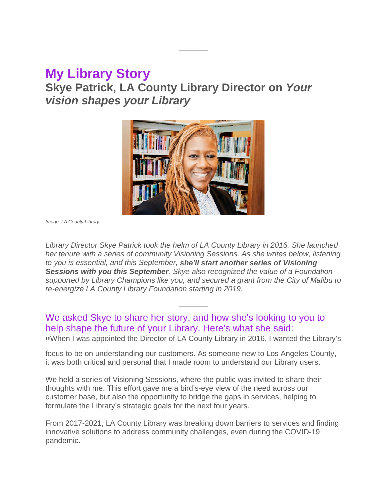## **My Library Story**

**Skye Patrick, LA County Library Director on** *Your vision shapes your Library*



*Image: LA County Library*

*Library Director Skye Patrick took the helm of LA County Library in 2016. She launched her tenure with a series of community Visioning Sessions. As she writes below, listening to you is essential, and this September, she'll start another series of Visioning Sessions with you this September. Skye also recognized the value of a Foundation supported by Library Champions like you, and secured a grant from the City of Malibu to re-energize LA County Library Foundation starting in 2019.*

We asked Skye to share her story, and how she's looking to you to help shape the future of your Library. Here's what she said: " When I was appointed the Director of LA County Library in 2016, I wanted the Library's

focus to be on understanding our customers. As someone new to Los Angeles County, it was both critical and personal that I made room to understand our Library users.

We held a series of Visioning Sessions, where the public was invited to share their thoughts with me. This effort gave me a bird's-eye view of the need across our customer base, but also the opportunity to bridge the gaps in services, helping to formulate the Library's strategic goals for the next four years.

From 2017-2021, LA County Library was breaking down barriers to services and finding innovative solutions to address community challenges, even during the COVID-19 pandemic.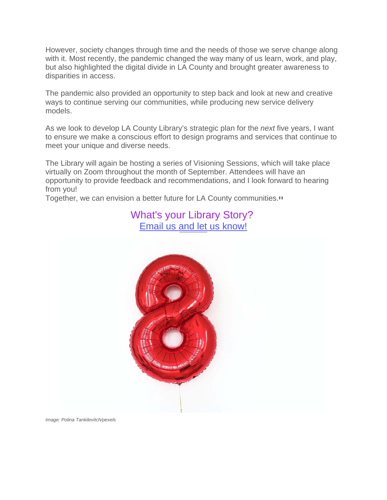However, society changes through time and the needs of those we serve change along with it. Most recently, the pandemic changed the way many of us learn, work, and play, but also highlighted the digital divide in LA County and brought greater awareness to disparities in access.

The pandemic also provided an opportunity to step back and look at new and creative ways to continue serving our communities, while producing new service delivery models.

As we look to develop LA County Library's strategic plan for the *next* five years, I want to ensure we make a conscious effort to design programs and services that continue to meet your unique and diverse needs.

The Library will again be hosting a series of Visioning Sessions, which will take place virtually on Zoom throughout the month of September. Attendees will have an opportunity to provide feedback and recommendations, and I look forward to hearing from you!

Together, we can envision a better future for LA County communities."

### What's your Library Story? [Email us and let us know!](mailto:acarroll@lacolibraryfoundation.org)



*Image: Polina Tankilevitch/pexels*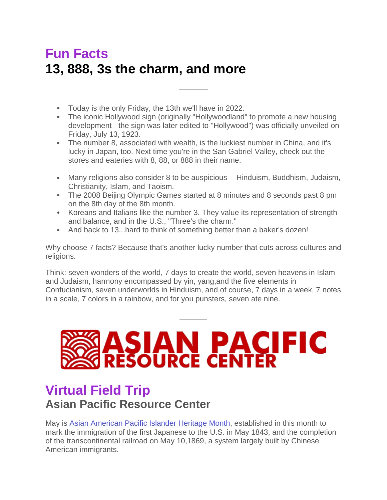# **Fun Facts 13, 888, 3s the charm, and more**

- Today is the only Friday, the 13th we'll have in 2022.
- The iconic Hollywood sign (originally "Hollywoodland" to promote a new housing development - the sign was later edited to "Hollywood") was officially unveiled on Friday, July 13, 1923.
- The number 8, associated with wealth, is the luckiest number in China, and it's lucky in Japan, too. Next time you're in the San Gabriel Valley, check out the stores and eateries with 8, 88, or 888 in their name.
- Many religions also consider 8 to be auspicious -- Hinduism, Buddhism, Judaism, Christianity, Islam, and Taoism.
- The 2008 Beijing Olympic Games started at 8 minutes and 8 seconds past 8 pm on the 8th day of the 8th month.
- Koreans and Italians like the number 3. They value its representation of strength and balance, and in the U.S., "Three's the charm."
- And back to 13...hard to think of something better than a baker's dozen!

Why choose 7 facts? Because that's another lucky number that cuts across cultures and religions.

Think: seven wonders of the world, 7 days to create the world, seven heavens in Islam and Judaism, harmony encompassed by yin, yang,and the five elements in Confucianism, seven underworlds in Hinduism, and of course, 7 days in a week, 7 notes in a scale, 7 colors in a rainbow, and for you punsters, seven ate nine.



## **Virtual Field Trip Asian Pacific Resource Center**

May is [Asian American Pacific Islander Heritage Month,](https://u10167832.ct.sendgrid.net/ls/click?upn=QRIzs1JeZxD09Q8uNfKoYs3vqKwAcLOjVW-2BWJNEtLHTxyqyTmvMSrwCokSSmN8Lku94yJIdmE2QhYFg-2FkpEnmMaGy0YbCe-2FQbkTVQTtCqJfobTOaDLSwv4jnNTkyZuU8OhAA_OgeRVzrjAtbqJQqQEEVSo-2FtUTXjooy1CixQTDPT3esDLFKNvxrgIfiAIb8LI4MkFK1oCa8IjOwjAJdMBvPR2aLSRIBpZkG2-2FB6NBaM7ISPraceBm00oWgcdgRGnV-2F7wL1uBlebRQOFrlWPRTifYCnW9h89CME33DPT6uKXzUu1DLjK92kGdg1u9DLgBLxm3VWucz8vNvjOJWrf4N3iMvbnnyiurfT9qt3viro0wsB-2BAaxPGHjz3p4BfqMammcyd73COPTnQJw0Qc1SMcDsHy9HqhXkqRh2V1RzBIeHrAnxPbaZlp0jJKR5bxVk-2F6tpkP-2FEIr8vOPexRcS7Vsk0wK8BRlA4NIOtL7jEPi0PRDFoVR6uB5Q7cy25ISwYqiww9B-2BpS5hsiqSZLrUYTTRkoEea6znEjrV89iwVT7vqzlFio-3D) established in this month to mark the immigration of the first Japanese to the U.S. in May 1843, and the completion of the transcontinental railroad on May 10,1869, a system largely built by Chinese American immigrants.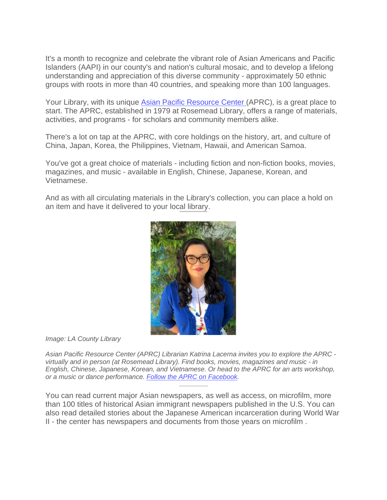It's a month to recognize and celebrate the vibrant role of Asian Americans and Pacific Islanders (AAPI) in our county's and nation's cultural mosaic, and to develop a lifelong understanding and appreciation of this diverse community - approximately 50 ethnic groups with roots in more than 40 countries, and speaking more than 100 languages.

Your Library, with its unique [Asian Pacific Resource Center](https://u10167832.ct.sendgrid.net/ls/click?upn=QRIzs1JeZxD09Q8uNfKoYs3vqKwAcLOjVW-2BWJNEtLHTxyqyTmvMSrwCokSSmN8LkZ-2BQWClByUfiCYPm-2BurTZ9gLKCNXESGYeaWY-2F0hVCCUaTTp5RpetzmOXb0Li1uA-2BXwms-_OgeRVzrjAtbqJQqQEEVSo-2FtUTXjooy1CixQTDPT3esDLFKNvxrgIfiAIb8LI4MkFK1oCa8IjOwjAJdMBvPR2aLSRIBpZkG2-2FB6NBaM7ISPraceBm00oWgcdgRGnV-2F7wL1uBlebRQOFrlWPRTifYCnW9h89CME33DPT6uKXzUu1DLjK92kGdg1u9DLgBLxm3VWucz8vNvjOJWrf4N3iMvbnnyiurfT9qt3viro0wsB-2BAaxPGHjz3p4BfqMammcyd73COPTnQJw0Qc1SMcDsHy9HCAh7HmFlslR-2Fn3E3EMcXa-2FhBoIx-2Bky22MkAOnTDC7mBXPu7ps31urLh-2FeU66qGN7GN4JPKBfVMQ4pCCPGEfY1Qt9M-2BTH98eg1-2Bb9btX9aTPcJAEZYl5i-2F-2BU5nrCFSWAuj0upR9NZfl9z4C318fYsI-3D) (APRC), is a great place to start. The APRC, established in 1979 at Rosemead Library, offers a range of materials, activities, and programs - for scholars and community members alike.

There's a lot on tap at the APRC, with core holdings on the history, art, and culture of China, Japan, Korea, the Philippines, Vietnam, Hawaii, and American Samoa.

You've got a great choice of materials - including fiction and non-fiction books, movies, magazines, and music - available in English, Chinese, Japanese, Korean, and Vietnamese.

And as with all circulating materials in the Library's collection, you can place a hold on an item and have it delivered to your local library.



*Image: LA County Library*

*Asian Pacific Resource Center (APRC) Librarian Katrina Lacerna invites you to explore the APRC virtually and in person (at Rosemead Library). Find books, movies, magazines and music - in English, Chinese, Japanese, Korean, and Vietnamese. Or head to the APRC for an arts workshop, or a music or dance performance. [Follow the APRC on Facebook.](https://u10167832.ct.sendgrid.net/ls/click?upn=QRIzs1JeZxD09Q8uNfKoYilogVlqCDpoKE7WpFIY3DMgYV0cOf8QaDDcF3qAIaB95sxsrnj96ZxbDknhlG-2B7JsVz7nC-2FqrwANFGcKcno-2FPY-3DBhue_OgeRVzrjAtbqJQqQEEVSo-2FtUTXjooy1CixQTDPT3esDLFKNvxrgIfiAIb8LI4MkFK1oCa8IjOwjAJdMBvPR2aLSRIBpZkG2-2FB6NBaM7ISPraceBm00oWgcdgRGnV-2F7wL1uBlebRQOFrlWPRTifYCnW9h89CME33DPT6uKXzUu1DLjK92kGdg1u9DLgBLxm3VWucz8vNvjOJWrf4N3iMvbnnyiurfT9qt3viro0wsB-2BAaxPGHjz3p4BfqMammcyd73COPTnQJw0Qc1SMcDsHy9BK4JRnXQb2kDSqd60k6Tqp-2FCnK3QwprFMos9c8ePS1QOL3GjIWm4lCNlxUOcafHG4BAKUO0-2FNqf7VkXvK38WyAFO76nMlu-2FquevWFE3k1dzcvEdhpMZ62sDMcmLZuvEUsbI-2BlX09HQ5ysa14sqox48-3D)*

You can read current major Asian newspapers, as well as access, on microfilm, more than 100 titles of historical Asian immigrant newspapers published in the U.S. You can also read detailed stories about the Japanese American incarceration during World War II - the center has newspapers and documents from those years on microfilm .